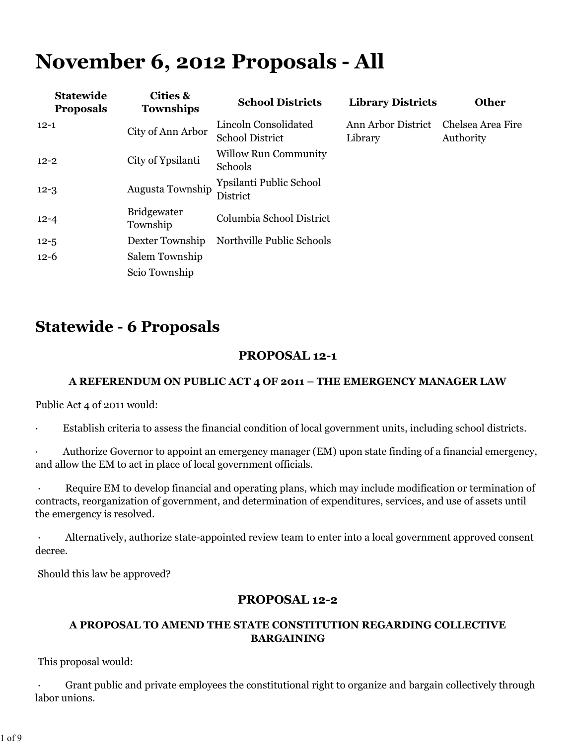# **November 6, 2012 Proposals - All**

| <b>Cities &amp;</b><br><b>Townships</b> | <b>School Districts</b>                        | <b>Library Districts</b>      | <b>Other</b>                   |
|-----------------------------------------|------------------------------------------------|-------------------------------|--------------------------------|
| City of Ann Arbor                       | Lincoln Consolidated<br><b>School District</b> | Ann Arbor District<br>Library | Chelsea Area Fire<br>Authority |
| City of Ypsilanti                       | <b>Willow Run Community</b><br>Schools         |                               |                                |
| Augusta Township                        | Ypsilanti Public School<br>District            |                               |                                |
| <b>Bridgewater</b><br>Township          | Columbia School District                       |                               |                                |
| Dexter Township                         | Northville Public Schools                      |                               |                                |
| Salem Township                          |                                                |                               |                                |
| Scio Township                           |                                                |                               |                                |
|                                         |                                                |                               |                                |

# **Statewide - 6 Proposals**

# **PROPOSAL 12-1**

### **A REFERENDUM ON PUBLIC ACT 4 OF 2011 – THE EMERGENCY MANAGER LAW**

Public Act 4 of 2011 would:

Establish criteria to assess the financial condition of local government units, including school districts.

Authorize Governor to appoint an emergency manager (EM) upon state finding of a financial emergency, and allow the EM to act in place of local government officials.

Require EM to develop financial and operating plans, which may include modification or termination of contracts, reorganization of government, and determination of expenditures, services, and use of assets until the emergency is resolved.

Alternatively, authorize state-appointed review team to enter into a local government approved consent decree.

Should this law be approved?

# **PROPOSAL 12-2**

### **A PROPOSAL TO AMEND THE STATE CONSTITUTION REGARDING COLLECTIVE BARGAINING**

This proposal would:

Grant public and private employees the constitutional right to organize and bargain collectively through labor unions.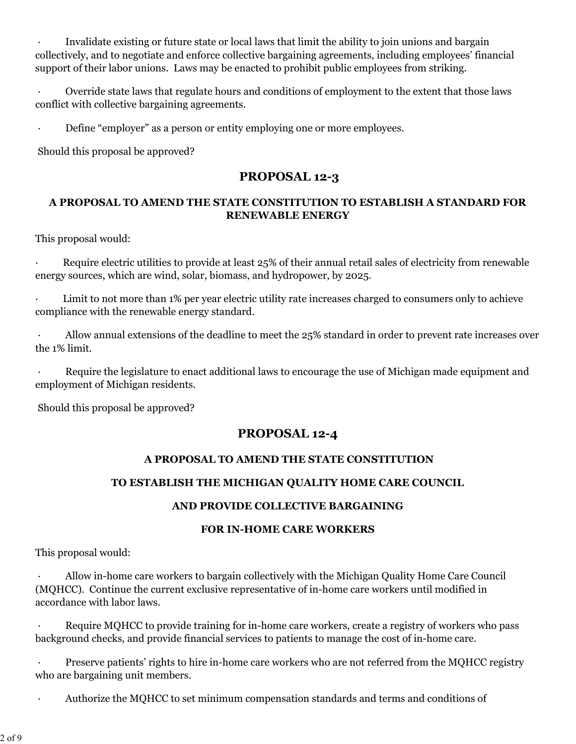Invalidate existing or future state or local laws that limit the ability to join unions and bargain collectively, and to negotiate and enforce collective bargaining agreements, including employees' financial support of their labor unions. Laws may be enacted to prohibit public employees from striking.

 · Override state laws that regulate hours and conditions of employment to the extent that those laws conflict with collective bargaining agreements.

Define "employer" as a person or entity employing one or more employees.

Should this proposal be approved?

### **PROPOSAL 12-3**

#### **A PROPOSAL TO AMEND THE STATE CONSTITUTION TO ESTABLISH A STANDARD FOR RENEWABLE ENERGY**

This proposal would:

Require electric utilities to provide at least 25% of their annual retail sales of electricity from renewable energy sources, which are wind, solar, biomass, and hydropower, by 2025.

Limit to not more than 1% per year electric utility rate increases charged to consumers only to achieve compliance with the renewable energy standard.

Allow annual extensions of the deadline to meet the 25% standard in order to prevent rate increases over the 1% limit.

Require the legislature to enact additional laws to encourage the use of Michigan made equipment and employment of Michigan residents.

Should this proposal be approved?

# **PROPOSAL 12-4**

#### **A PROPOSAL TO AMEND THE STATE CONSTITUTION**

### **TO ESTABLISH THE MICHIGAN QUALITY HOME CARE COUNCIL**

#### **AND PROVIDE COLLECTIVE BARGAINING**

#### **FOR IN-HOME CARE WORKERS**

This proposal would:

 · Allow in-home care workers to bargain collectively with the Michigan Quality Home Care Council (MQHCC). Continue the current exclusive representative of in-home care workers until modified in accordance with labor laws.

Require MQHCC to provide training for in-home care workers, create a registry of workers who pass background checks, and provide financial services to patients to manage the cost of in-home care.

Preserve patients' rights to hire in-home care workers who are not referred from the MQHCC registry who are bargaining unit members.

· Authorize the MQHCC to set minimum compensation standards and terms and conditions of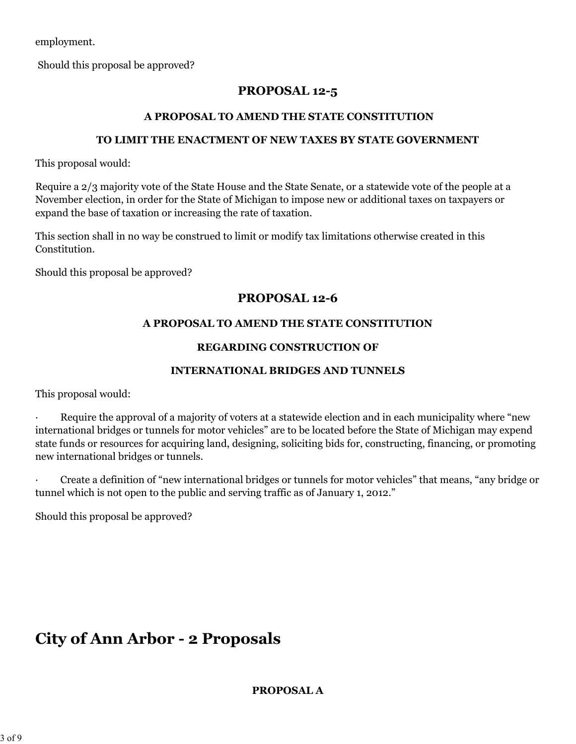employment.

Should this proposal be approved?

# **PROPOSAL 12-5**

#### **A PROPOSAL TO AMEND THE STATE CONSTITUTION**

#### **TO LIMIT THE ENACTMENT OF NEW TAXES BY STATE GOVERNMENT**

This proposal would:

Require a 2/3 majority vote of the State House and the State Senate, or a statewide vote of the people at a November election, in order for the State of Michigan to impose new or additional taxes on taxpayers or expand the base of taxation or increasing the rate of taxation.

This section shall in no way be construed to limit or modify tax limitations otherwise created in this Constitution.

Should this proposal be approved?

# **PROPOSAL 12-6**

#### **A PROPOSAL TO AMEND THE STATE CONSTITUTION**

#### **REGARDING CONSTRUCTION OF**

#### **INTERNATIONAL BRIDGES AND TUNNELS**

This proposal would:

Require the approval of a majority of voters at a statewide election and in each municipality where "new international bridges or tunnels for motor vehicles" are to be located before the State of Michigan may expend state funds or resources for acquiring land, designing, soliciting bids for, constructing, financing, or promoting new international bridges or tunnels.

· Create a definition of "new international bridges or tunnels for motor vehicles" that means, "any bridge or tunnel which is not open to the public and serving traffic as of January 1, 2012."

Should this proposal be approved?

# **City of Ann Arbor - 2 Proposals**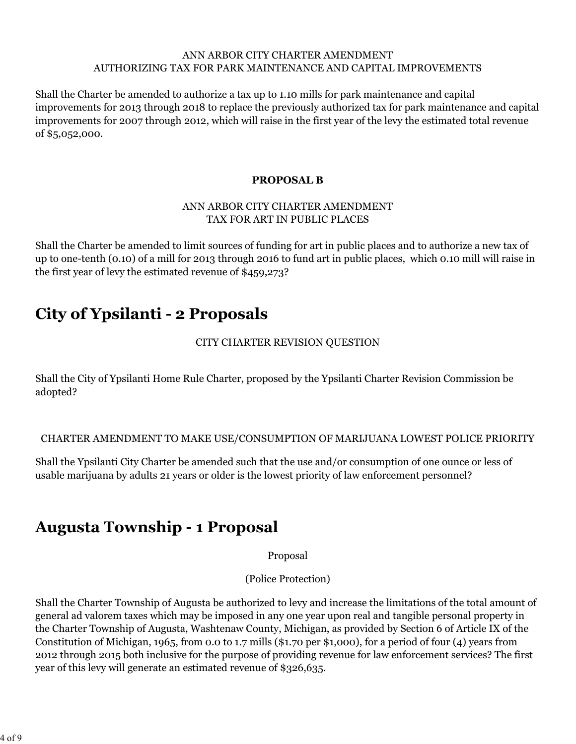#### ANN ARBOR CITY CHARTER AMENDMENT AUTHORIZING TAX FOR PARK MAINTENANCE AND CAPITAL IMPROVEMENTS

Shall the Charter be amended to authorize a tax up to 1.10 mills for park maintenance and capital improvements for 2013 through 2018 to replace the previously authorized tax for park maintenance and capital improvements for 2007 through 2012, which will raise in the first year of the levy the estimated total revenue of \$5,052,000.

#### **PROPOSAL B**

#### ANN ARBOR CITY CHARTER AMENDMENT TAX FOR ART IN PUBLIC PLACES

Shall the Charter be amended to limit sources of funding for art in public places and to authorize a new tax of up to one-tenth (0.10) of a mill for 2013 through 2016 to fund art in public places, which 0.10 mill will raise in the first year of levy the estimated revenue of \$459,273?

# **City of Ypsilanti - 2 Proposals**

### CITY CHARTER REVISION QUESTION

Shall the City of Ypsilanti Home Rule Charter, proposed by the Ypsilanti Charter Revision Commission be adopted?

### CHARTER AMENDMENT TO MAKE USE/CONSUMPTION OF MARIJUANA LOWEST POLICE PRIORITY

Shall the Ypsilanti City Charter be amended such that the use and/or consumption of one ounce or less of usable marijuana by adults 21 years or older is the lowest priority of law enforcement personnel?

# **Augusta Township - 1 Proposal**

Proposal

(Police Protection)

Shall the Charter Township of Augusta be authorized to levy and increase the limitations of the total amount of general ad valorem taxes which may be imposed in any one year upon real and tangible personal property in the Charter Township of Augusta, Washtenaw County, Michigan, as provided by Section 6 of Article IX of the Constitution of Michigan, 1965, from 0.0 to 1.7 mills (\$1.70 per \$1,000), for a period of four (4) years from 2012 through 2015 both inclusive for the purpose of providing revenue for law enforcement services? The first year of this levy will generate an estimated revenue of \$326,635.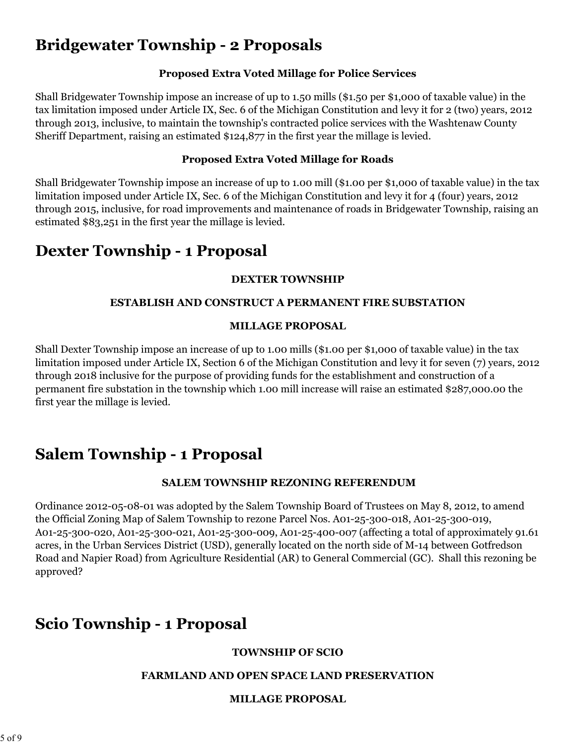# **Bridgewater Township - 2 Proposals**

### **Proposed Extra Voted Millage for Police Services**

Shall Bridgewater Township impose an increase of up to 1.50 mills (\$1.50 per \$1,000 of taxable value) in the tax limitation imposed under Article IX, Sec. 6 of the Michigan Constitution and levy it for 2 (two) years, 2012 through 2013, inclusive, to maintain the township's contracted police services with the Washtenaw County Sheriff Department, raising an estimated \$124,877 in the first year the millage is levied.

#### **Proposed Extra Voted Millage for Roads**

Shall Bridgewater Township impose an increase of up to 1.00 mill (\$1.00 per \$1,000 of taxable value) in the tax limitation imposed under Article IX, Sec. 6 of the Michigan Constitution and levy it for 4 (four) years, 2012 through 2015, inclusive, for road improvements and maintenance of roads in Bridgewater Township, raising an estimated \$83,251 in the first year the millage is levied.

# **Dexter Township - 1 Proposal**

### **DEXTER TOWNSHIP**

### **ESTABLISH AND CONSTRUCT A PERMANENT FIRE SUBSTATION**

### **MILLAGE PROPOSAL**

Shall Dexter Township impose an increase of up to 1.00 mills (\$1.00 per \$1,000 of taxable value) in the tax limitation imposed under Article IX, Section 6 of the Michigan Constitution and levy it for seven (7) years, 2012 through 2018 inclusive for the purpose of providing funds for the establishment and construction of a permanent fire substation in the township which 1.00 mill increase will raise an estimated \$287,000.00 the first year the millage is levied.

# **Salem Township - 1 Proposal**

# **SALEM TOWNSHIP REZONING REFERENDUM**

Ordinance 2012-05-08-01 was adopted by the Salem Township Board of Trustees on May 8, 2012, to amend the Official Zoning Map of Salem Township to rezone Parcel Nos. A01-25-300-018, A01-25-300-019, A01-25-300-020, A01-25-300-021, A01-25-300-009, A01-25-400-007 (affecting a total of approximately 91.61 acres, in the Urban Services District (USD), generally located on the north side of M-14 between Gotfredson Road and Napier Road) from Agriculture Residential (AR) to General Commercial (GC). Shall this rezoning be approved?

# **Scio Township - 1 Proposal**

### **TOWNSHIP OF SCIO**

### **FARMLAND AND OPEN SPACE LAND PRESERVATION**

### **MILLAGE PROPOSAL**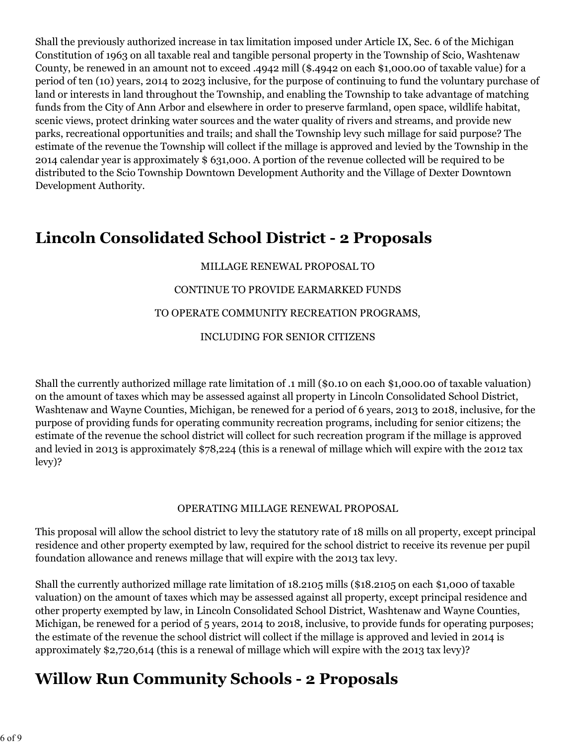Shall the previously authorized increase in tax limitation imposed under Article IX, Sec. 6 of the Michigan Constitution of 1963 on all taxable real and tangible personal property in the Township of Scio, Washtenaw County, be renewed in an amount not to exceed .4942 mill (\$.4942 on each \$1,000.00 of taxable value) for a period of ten (10) years, 2014 to 2023 inclusive, for the purpose of continuing to fund the voluntary purchase of land or interests in land throughout the Township, and enabling the Township to take advantage of matching funds from the City of Ann Arbor and elsewhere in order to preserve farmland, open space, wildlife habitat, scenic views, protect drinking water sources and the water quality of rivers and streams, and provide new parks, recreational opportunities and trails; and shall the Township levy such millage for said purpose? The estimate of the revenue the Township will collect if the millage is approved and levied by the Township in the 2014 calendar year is approximately \$ 631,000. A portion of the revenue collected will be required to be distributed to the Scio Township Downtown Development Authority and the Village of Dexter Downtown Development Authority.

# **Lincoln Consolidated School District - 2 Proposals**

### MILLAGE RENEWAL PROPOSAL TO

### CONTINUE TO PROVIDE EARMARKED FUNDS

#### TO OPERATE COMMUNITY RECREATION PROGRAMS,

#### INCLUDING FOR SENIOR CITIZENS

Shall the currently authorized millage rate limitation of .1 mill (\$0.10 on each \$1,000.00 of taxable valuation) on the amount of taxes which may be assessed against all property in Lincoln Consolidated School District, Washtenaw and Wayne Counties, Michigan, be renewed for a period of 6 years, 2013 to 2018, inclusive, for the purpose of providing funds for operating community recreation programs, including for senior citizens; the estimate of the revenue the school district will collect for such recreation program if the millage is approved and levied in 2013 is approximately \$78,224 (this is a renewal of millage which will expire with the 2012 tax levy)?

#### OPERATING MILLAGE RENEWAL PROPOSAL

This proposal will allow the school district to levy the statutory rate of 18 mills on all property, except principal residence and other property exempted by law, required for the school district to receive its revenue per pupil foundation allowance and renews millage that will expire with the 2013 tax levy.

Shall the currently authorized millage rate limitation of 18.2105 mills (\$18.2105 on each \$1,000 of taxable valuation) on the amount of taxes which may be assessed against all property, except principal residence and other property exempted by law, in Lincoln Consolidated School District, Washtenaw and Wayne Counties, Michigan, be renewed for a period of 5 years, 2014 to 2018, inclusive, to provide funds for operating purposes; the estimate of the revenue the school district will collect if the millage is approved and levied in 2014 is approximately \$2,720,614 (this is a renewal of millage which will expire with the 2013 tax levy)?

# **Willow Run Community Schools - 2 Proposals**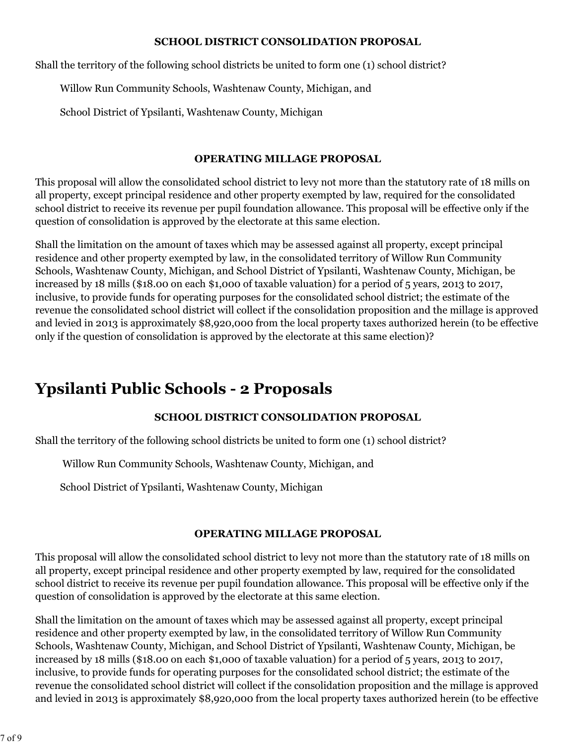#### **SCHOOL DISTRICT CONSOLIDATION PROPOSAL**

Shall the territory of the following school districts be united to form one (1) school district?

Willow Run Community Schools, Washtenaw County, Michigan, and

School District of Ypsilanti, Washtenaw County, Michigan

#### **OPERATING MILLAGE PROPOSAL**

This proposal will allow the consolidated school district to levy not more than the statutory rate of 18 mills on all property, except principal residence and other property exempted by law, required for the consolidated school district to receive its revenue per pupil foundation allowance. This proposal will be effective only if the question of consolidation is approved by the electorate at this same election.

Shall the limitation on the amount of taxes which may be assessed against all property, except principal residence and other property exempted by law, in the consolidated territory of Willow Run Community Schools, Washtenaw County, Michigan, and School District of Ypsilanti, Washtenaw County, Michigan, be increased by 18 mills (\$18.00 on each \$1,000 of taxable valuation) for a period of 5 years, 2013 to 2017, inclusive, to provide funds for operating purposes for the consolidated school district; the estimate of the revenue the consolidated school district will collect if the consolidation proposition and the millage is approved and levied in 2013 is approximately \$8,920,000 from the local property taxes authorized herein (to be effective only if the question of consolidation is approved by the electorate at this same election)?

# **Ypsilanti Public Schools - 2 Proposals**

### **SCHOOL DISTRICT CONSOLIDATION PROPOSAL**

Shall the territory of the following school districts be united to form one (1) school district?

Willow Run Community Schools, Washtenaw County, Michigan, and

School District of Ypsilanti, Washtenaw County, Michigan

#### **OPERATING MILLAGE PROPOSAL**

This proposal will allow the consolidated school district to levy not more than the statutory rate of 18 mills on all property, except principal residence and other property exempted by law, required for the consolidated school district to receive its revenue per pupil foundation allowance. This proposal will be effective only if the question of consolidation is approved by the electorate at this same election.

Shall the limitation on the amount of taxes which may be assessed against all property, except principal residence and other property exempted by law, in the consolidated territory of Willow Run Community Schools, Washtenaw County, Michigan, and School District of Ypsilanti, Washtenaw County, Michigan, be increased by 18 mills (\$18.00 on each \$1,000 of taxable valuation) for a period of 5 years, 2013 to 2017, inclusive, to provide funds for operating purposes for the consolidated school district; the estimate of the revenue the consolidated school district will collect if the consolidation proposition and the millage is approved and levied in 2013 is approximately \$8,920,000 from the local property taxes authorized herein (to be effective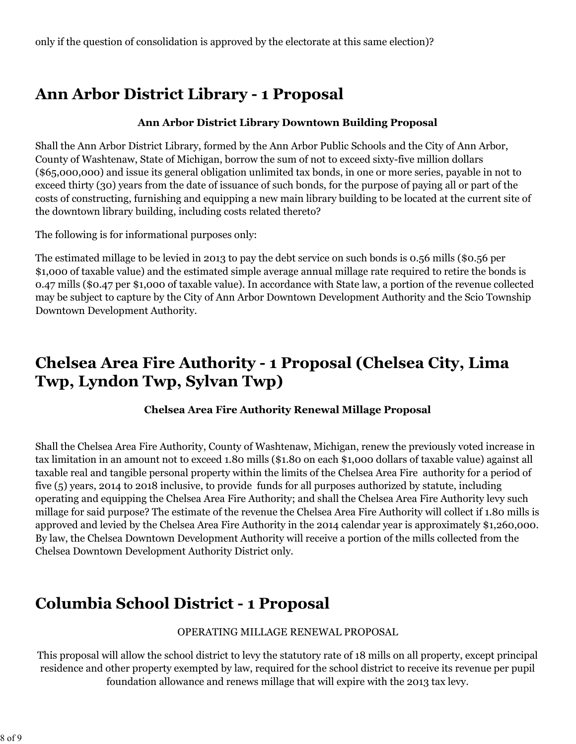# **Ann Arbor District Library - 1 Proposal**

#### **Ann Arbor District Library Downtown Building Proposal**

Shall the Ann Arbor District Library, formed by the Ann Arbor Public Schools and the City of Ann Arbor, County of Washtenaw, State of Michigan, borrow the sum of not to exceed sixty-five million dollars (\$65,000,000) and issue its general obligation unlimited tax bonds, in one or more series, payable in not to exceed thirty (30) years from the date of issuance of such bonds, for the purpose of paying all or part of the costs of constructing, furnishing and equipping a new main library building to be located at the current site of the downtown library building, including costs related thereto?

The following is for informational purposes only:

The estimated millage to be levied in 2013 to pay the debt service on such bonds is 0.56 mills (\$0.56 per \$1,000 of taxable value) and the estimated simple average annual millage rate required to retire the bonds is 0.47 mills (\$0.47 per \$1,000 of taxable value). In accordance with State law, a portion of the revenue collected may be subject to capture by the City of Ann Arbor Downtown Development Authority and the Scio Township Downtown Development Authority.

# **Chelsea Area Fire Authority - 1 Proposal (Chelsea City, Lima Twp, Lyndon Twp, Sylvan Twp)**

### **Chelsea Area Fire Authority Renewal Millage Proposal**

Shall the Chelsea Area Fire Authority, County of Washtenaw, Michigan, renew the previously voted increase in tax limitation in an amount not to exceed 1.80 mills (\$1.80 on each \$1,000 dollars of taxable value) against all taxable real and tangible personal property within the limits of the Chelsea Area Fire authority for a period of five (5) years, 2014 to 2018 inclusive, to provide funds for all purposes authorized by statute, including operating and equipping the Chelsea Area Fire Authority; and shall the Chelsea Area Fire Authority levy such millage for said purpose? The estimate of the revenue the Chelsea Area Fire Authority will collect if 1.80 mills is approved and levied by the Chelsea Area Fire Authority in the 2014 calendar year is approximately \$1,260,000. By law, the Chelsea Downtown Development Authority will receive a portion of the mills collected from the Chelsea Downtown Development Authority District only.

# **Columbia School District - 1 Proposal**

#### OPERATING MILLAGE RENEWAL PROPOSAL

This proposal will allow the school district to levy the statutory rate of 18 mills on all property, except principal residence and other property exempted by law, required for the school district to receive its revenue per pupil foundation allowance and renews millage that will expire with the 2013 tax levy.